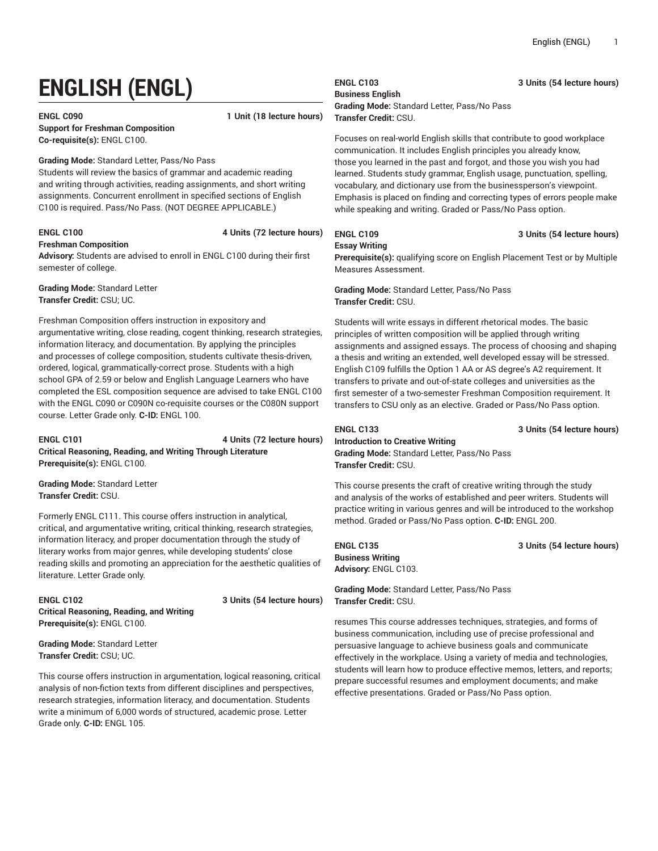# **ENGLISH (ENGL)**

### **ENGL C090 1 Unit (18 lecture hours) Support for Freshman Composition Co-requisite(s):** ENGL C100.

#### **Grading Mode:** Standard Letter, Pass/No Pass

Students will review the basics of grammar and academic reading and writing through activities, reading assignments, and short writing assignments. Concurrent enrollment in specified sections of English C100 is required. Pass/No Pass. (NOT DEGREE APPLICABLE.)

#### **ENGL C100 4 Units (72 lecture hours)**

#### **Freshman Composition**

**Advisory:** Students are advised to enroll in ENGL C100 during their first semester of college.

**Grading Mode:** Standard Letter **Transfer Credit:** CSU; UC.

Freshman Composition offers instruction in expository and argumentative writing, close reading, cogent thinking, research strategies, information literacy, and documentation. By applying the principles and processes of college composition, students cultivate thesis-driven, ordered, logical, grammatically-correct prose. Students with a high school GPA of 2.59 or below and English Language Learners who have completed the ESL composition sequence are advised to take ENGL C100 with the ENGL C090 or C090N co-requisite courses or the C080N support course. Letter Grade only. **C-ID:** ENGL 100.

**ENGL C101 4 Units (72 lecture hours) Critical Reasoning, Reading, and Writing Through Literature Prerequisite(s):** ENGL C100.

**Grading Mode:** Standard Letter **Transfer Credit:** CSU.

Formerly ENGL C111. This course offers instruction in analytical, critical, and argumentative writing, critical thinking, research strategies, information literacy, and proper documentation through the study of literary works from major genres, while developing students' close reading skills and promoting an appreciation for the aesthetic qualities of literature. Letter Grade only.

### **ENGL C102 3 Units (54 lecture hours) Critical Reasoning, Reading, and Writing Prerequisite(s):** ENGL C100.

**Grading Mode:** Standard Letter **Transfer Credit:** CSU; UC.

This course offers instruction in argumentation, logical reasoning, critical analysis of non-fiction texts from different disciplines and perspectives, research strategies, information literacy, and documentation. Students write a minimum of 6,000 words of structured, academic prose. Letter Grade only. **C-ID:** ENGL 105.

## **Business English**

### **Grading Mode:** Standard Letter, Pass/No Pass **Transfer Credit:** CSU.

Focuses on real-world English skills that contribute to good workplace communication. It includes English principles you already know, those you learned in the past and forgot, and those you wish you had learned. Students study grammar, English usage, punctuation, spelling, vocabulary, and dictionary use from the businessperson's viewpoint. Emphasis is placed on finding and correcting types of errors people make while speaking and writing. Graded or Pass/No Pass option.

### **ENGL C109 3 Units (54 lecture hours)**

#### **Essay Writing**

**Prerequisite(s):** qualifying score on English Placement Test or by Multiple Measures Assessment.

#### **Grading Mode:** Standard Letter, Pass/No Pass **Transfer Credit:** CSU.

Students will write essays in different rhetorical modes. The basic principles of written composition will be applied through writing assignments and assigned essays. The process of choosing and shaping a thesis and writing an extended, well developed essay will be stressed. English C109 fulfills the Option 1 AA or AS degree's A2 requirement. It transfers to private and out-of-state colleges and universities as the first semester of a two-semester Freshman Composition requirement. It transfers to CSU only as an elective. Graded or Pass/No Pass option.

### **ENGL C133 3 Units (54 lecture hours) Introduction to Creative Writing Grading Mode:** Standard Letter, Pass/No Pass **Transfer Credit:** CSU.

This course presents the craft of creative writing through the study and analysis of the works of established and peer writers. Students will practice writing in various genres and will be introduced to the workshop method. Graded or Pass/No Pass option. **C-ID:** ENGL 200.

**ENGL C135 3 Units (54 lecture hours) Business Writing Advisory:** ENGL C103.

**Grading Mode:** Standard Letter, Pass/No Pass **Transfer Credit:** CSU.

resumes This course addresses techniques, strategies, and forms of business communication, including use of precise professional and persuasive language to achieve business goals and communicate effectively in the workplace. Using a variety of media and technologies, students will learn how to produce effective memos, letters, and reports; prepare successful resumes and employment documents; and make effective presentations. Graded or Pass/No Pass option.

**ENGL C103 3 Units (54 lecture hours)**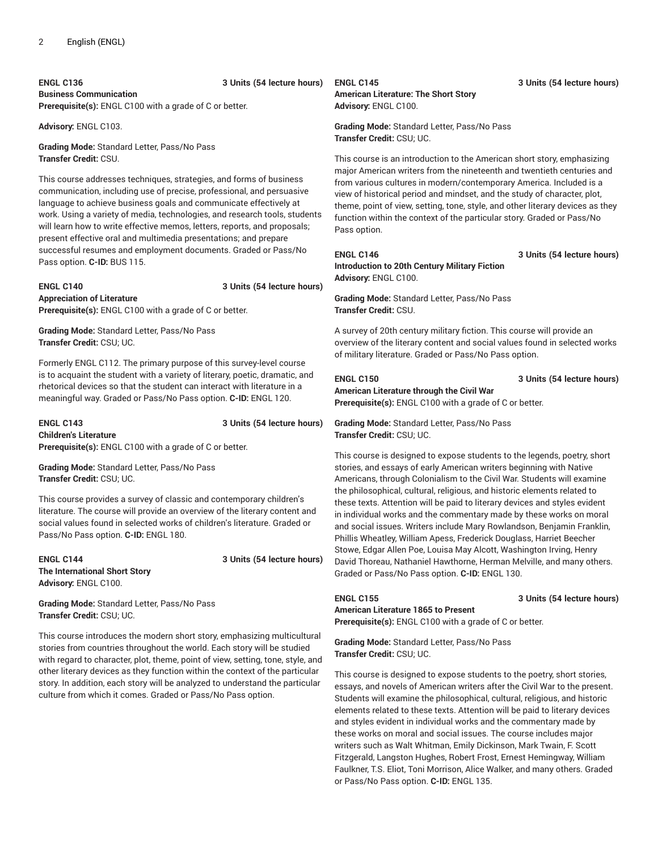**ENGL C136 3 Units (54 lecture hours) Business Communication**

**Prerequisite(s):** ENGL C100 with a grade of C or better.

**Advisory:** ENGL C103.

**Grading Mode:** Standard Letter, Pass/No Pass **Transfer Credit:** CSU.

This course addresses techniques, strategies, and forms of business communication, including use of precise, professional, and persuasive language to achieve business goals and communicate effectively at work. Using a variety of media, technologies, and research tools, students will learn how to write effective memos, letters, reports, and proposals; present effective oral and multimedia presentations; and prepare successful resumes and employment documents. Graded or Pass/No Pass option. **C-ID:** BUS 115.

**ENGL C140 3 Units (54 lecture hours) Appreciation of Literature Prerequisite(s):** ENGL C100 with a grade of C or better.

**Grading Mode:** Standard Letter, Pass/No Pass **Transfer Credit:** CSU; UC.

Formerly ENGL C112. The primary purpose of this survey-level course is to acquaint the student with a variety of literary, poetic, dramatic, and rhetorical devices so that the student can interact with literature in a meaningful way. Graded or Pass/No Pass option. **C-ID:** ENGL 120.

### **ENGL C143 3 Units (54 lecture hours) Children's Literature Prerequisite(s):** ENGL C100 with a grade of C or better.

**Grading Mode:** Standard Letter, Pass/No Pass **Transfer Credit:** CSU; UC.

This course provides a survey of classic and contemporary children's literature. The course will provide an overview of the literary content and social values found in selected works of children's literature. Graded or Pass/No Pass option. **C-ID:** ENGL 180.

**ENGL C144 3 Units (54 lecture hours) The International Short Story Advisory:** ENGL C100.

**Grading Mode:** Standard Letter, Pass/No Pass **Transfer Credit:** CSU; UC.

This course introduces the modern short story, emphasizing multicultural stories from countries throughout the world. Each story will be studied with regard to character, plot, theme, point of view, setting, tone, style, and other literary devices as they function within the context of the particular story. In addition, each story will be analyzed to understand the particular culture from which it comes. Graded or Pass/No Pass option.

### **American Literature: The Short Story Advisory:** ENGL C100.

**Grading Mode:** Standard Letter, Pass/No Pass **Transfer Credit:** CSU; UC.

This course is an introduction to the American short story, emphasizing major American writers from the nineteenth and twentieth centuries and from various cultures in modern/contemporary America. Included is a view of historical period and mindset, and the study of character, plot, theme, point of view, setting, tone, style, and other literary devices as they function within the context of the particular story. Graded or Pass/No Pass option.

#### **ENGL C146 3 Units (54 lecture hours) Introduction to 20th Century Military Fiction Advisory:** ENGL C100.

**Grading Mode:** Standard Letter, Pass/No Pass **Transfer Credit:** CSU.

A survey of 20th century military fiction. This course will provide an overview of the literary content and social values found in selected works of military literature. Graded or Pass/No Pass option.

### **ENGL C150 3 Units (54 lecture hours) American Literature through the Civil War Prerequisite(s):** ENGL C100 with a grade of C or better.

**Grading Mode:** Standard Letter, Pass/No Pass **Transfer Credit:** CSU; UC.

This course is designed to expose students to the legends, poetry, short stories, and essays of early American writers beginning with Native Americans, through Colonialism to the Civil War. Students will examine the philosophical, cultural, religious, and historic elements related to these texts. Attention will be paid to literary devices and styles evident in individual works and the commentary made by these works on moral and social issues. Writers include Mary Rowlandson, Benjamin Franklin, Phillis Wheatley, William Apess, Frederick Douglass, Harriet Beecher Stowe, Edgar Allen Poe, Louisa May Alcott, Washington Irving, Henry David Thoreau, Nathaniel Hawthorne, Herman Melville, and many others. Graded or Pass/No Pass option. **C-ID:** ENGL 130.

**ENGL C155 3 Units (54 lecture hours)**

**Prerequisite(s):** ENGL C100 with a grade of C or better.

**Grading Mode:** Standard Letter, Pass/No Pass **Transfer Credit:** CSU; UC.

**American Literature 1865 to Present**

This course is designed to expose students to the poetry, short stories, essays, and novels of American writers after the Civil War to the present. Students will examine the philosophical, cultural, religious, and historic elements related to these texts. Attention will be paid to literary devices and styles evident in individual works and the commentary made by these works on moral and social issues. The course includes major writers such as Walt Whitman, Emily Dickinson, Mark Twain, F. Scott Fitzgerald, Langston Hughes, Robert Frost, Ernest Hemingway, William Faulkner, T.S. Eliot, Toni Morrison, Alice Walker, and many others. Graded or Pass/No Pass option. **C-ID:** ENGL 135.

### **ENGL C145 3 Units (54 lecture hours)**